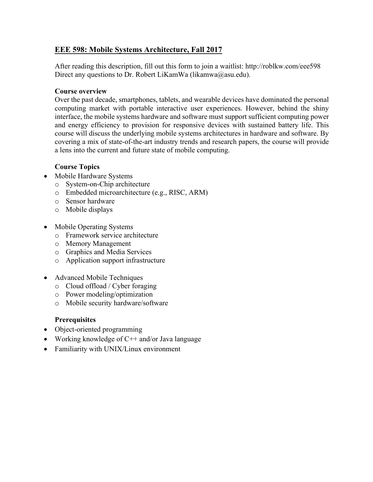## **EEE 598: Mobile Systems Architecture, Fall 2017**

After reading this description, fill out this form to join a waitlist: http://roblkw.com/eee598 Direct any questions to Dr. Robert LiKamWa (likamwa@asu.edu).

#### **Course overview**

Over the past decade, smartphones, tablets, and wearable devices have dominated the personal computing market with portable interactive user experiences. However, behind the shiny interface, the mobile systems hardware and software must support sufficient computing power and energy efficiency to provision for responsive devices with sustained battery life. This course will discuss the underlying mobile systems architectures in hardware and software. By covering a mix of state-of-the-art industry trends and research papers, the course will provide a lens into the current and future state of mobile computing.

### **Course Topics**

- Mobile Hardware Systems
	- o System-on-Chip architecture
	- o Embedded microarchitecture (e.g., RISC, ARM)
	- o Sensor hardware
	- o Mobile displays
- Mobile Operating Systems
	- o Framework service architecture
	- o Memory Management
	- o Graphics and Media Services
	- o Application support infrastructure
- Advanced Mobile Techniques
	- o Cloud offload / Cyber foraging
	- o Power modeling/optimization
	- o Mobile security hardware/software

## **Prerequisites**

- Object-oriented programming
- Working knowledge of  $C++$  and/or Java language
- Familiarity with UNIX/Linux environment